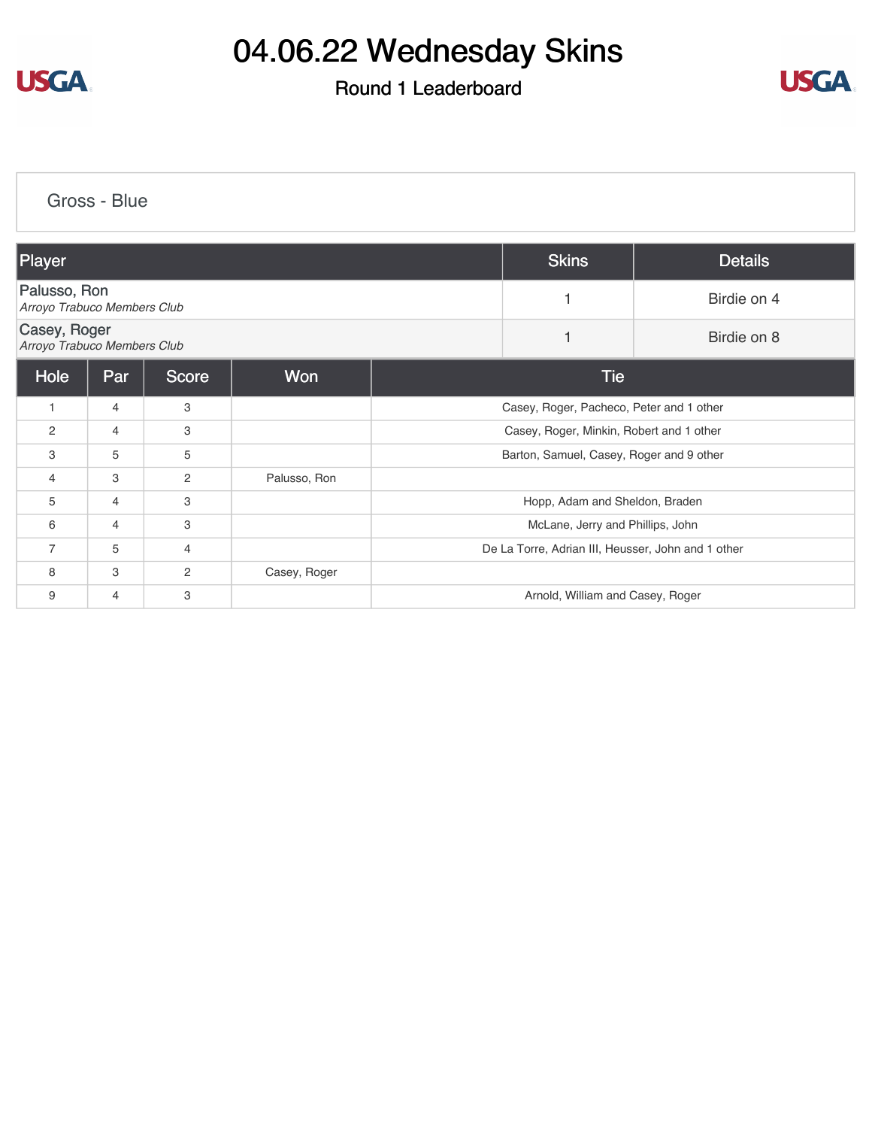

### Round 1 Leaderboard



[Gross - Blue](https://cdn2.golfgenius.com/v2tournaments/8361538886710616505?called_from=&round_index=1)

| Player                                      |                |                |              |  | <b>Skins</b>                                       | <b>Details</b> |
|---------------------------------------------|----------------|----------------|--------------|--|----------------------------------------------------|----------------|
| Palusso, Ron<br>Arroyo Trabuco Members Club |                |                |              |  |                                                    | Birdie on 4    |
| Casey, Roger<br>Arroyo Trabuco Members Club |                |                |              |  |                                                    | Birdie on 8    |
| Hole                                        | Par            | <b>Score</b>   | Won          |  | <b>Tie</b>                                         |                |
| 1                                           | $\overline{4}$ | 3              |              |  | Casey, Roger, Pacheco, Peter and 1 other           |                |
| 2                                           | 4              | 3              |              |  | Casey, Roger, Minkin, Robert and 1 other           |                |
| 3                                           | 5              | 5              |              |  | Barton, Samuel, Casey, Roger and 9 other           |                |
| 4                                           | 3              | 2              | Palusso, Ron |  |                                                    |                |
| 5                                           | 4              | 3              |              |  | Hopp, Adam and Sheldon, Braden                     |                |
| 6                                           | 4              | 3              |              |  | McLane, Jerry and Phillips, John                   |                |
| $\overline{7}$                              | 5              | $\overline{4}$ |              |  | De La Torre, Adrian III, Heusser, John and 1 other |                |
| 8                                           | 3              | 2              | Casey, Roger |  |                                                    |                |
| 9                                           | 4              | 3              |              |  | Arnold, William and Casey, Roger                   |                |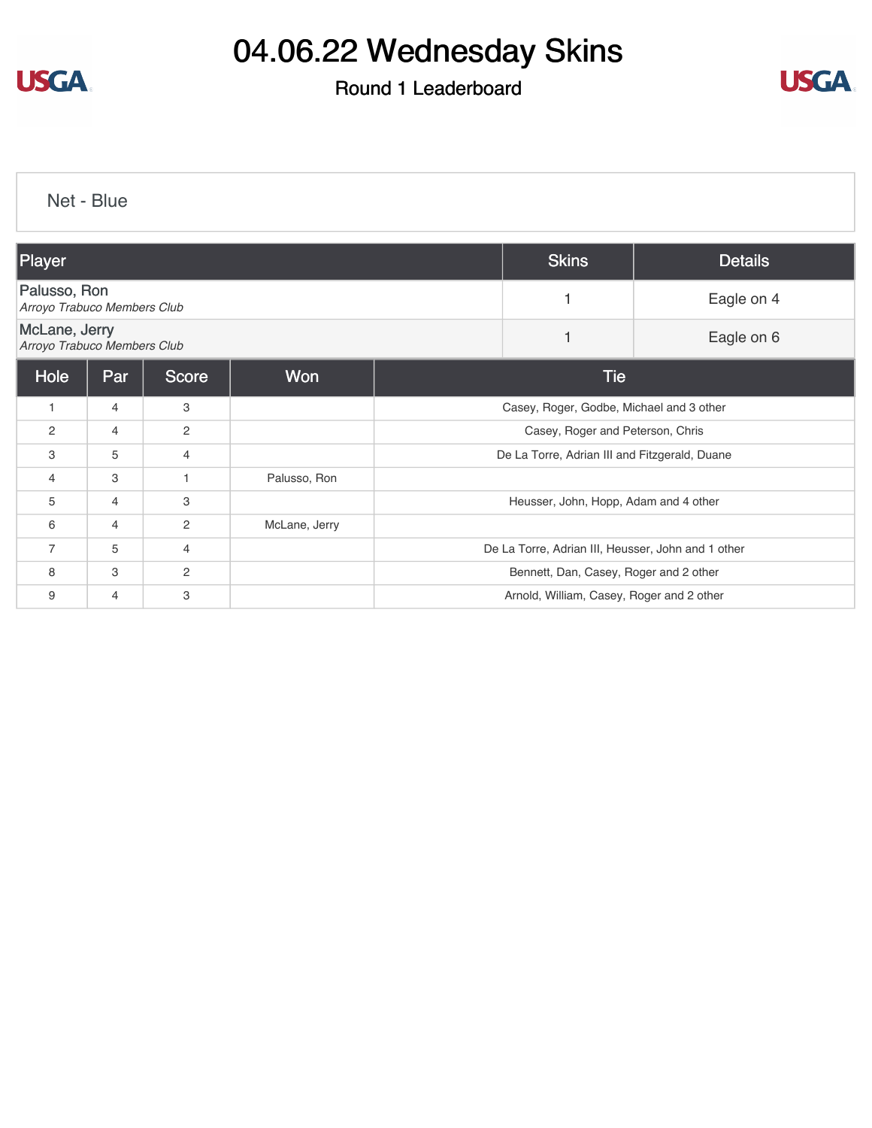

### Round 1 Leaderboard



[Net - Blue](https://cdn2.golfgenius.com/v2tournaments/8361541985227530685?called_from=&round_index=1)

| Player                                       |                |              |               |  | <b>Skins</b>                                       | <b>Details</b> |
|----------------------------------------------|----------------|--------------|---------------|--|----------------------------------------------------|----------------|
| Palusso, Ron<br>Arroyo Trabuco Members Club  |                |              |               |  |                                                    | Eagle on 4     |
| McLane, Jerry<br>Arroyo Trabuco Members Club |                |              |               |  |                                                    | Eagle on 6     |
| Hole                                         | Par            | Score        | Won           |  | <b>Tie</b>                                         |                |
| $\mathbf{1}$                                 | $\overline{4}$ | 3            |               |  | Casey, Roger, Godbe, Michael and 3 other           |                |
| 2                                            | $\overline{4}$ | 2            |               |  | Casey, Roger and Peterson, Chris                   |                |
| 3                                            | 5              | 4            |               |  | De La Torre, Adrian III and Fitzgerald, Duane      |                |
| $\overline{4}$                               | 3              | 1            | Palusso, Ron  |  |                                                    |                |
| 5                                            | 4              | 3            |               |  | Heusser, John, Hopp, Adam and 4 other              |                |
| 6                                            | $\overline{4}$ | 2            | McLane, Jerry |  |                                                    |                |
| 7                                            | 5              | 4            |               |  | De La Torre, Adrian III, Heusser, John and 1 other |                |
| 8                                            | 3              | $\mathbf{2}$ |               |  | Bennett, Dan, Casey, Roger and 2 other             |                |
| 9                                            | 4              | 3            |               |  | Arnold, William, Casey, Roger and 2 other          |                |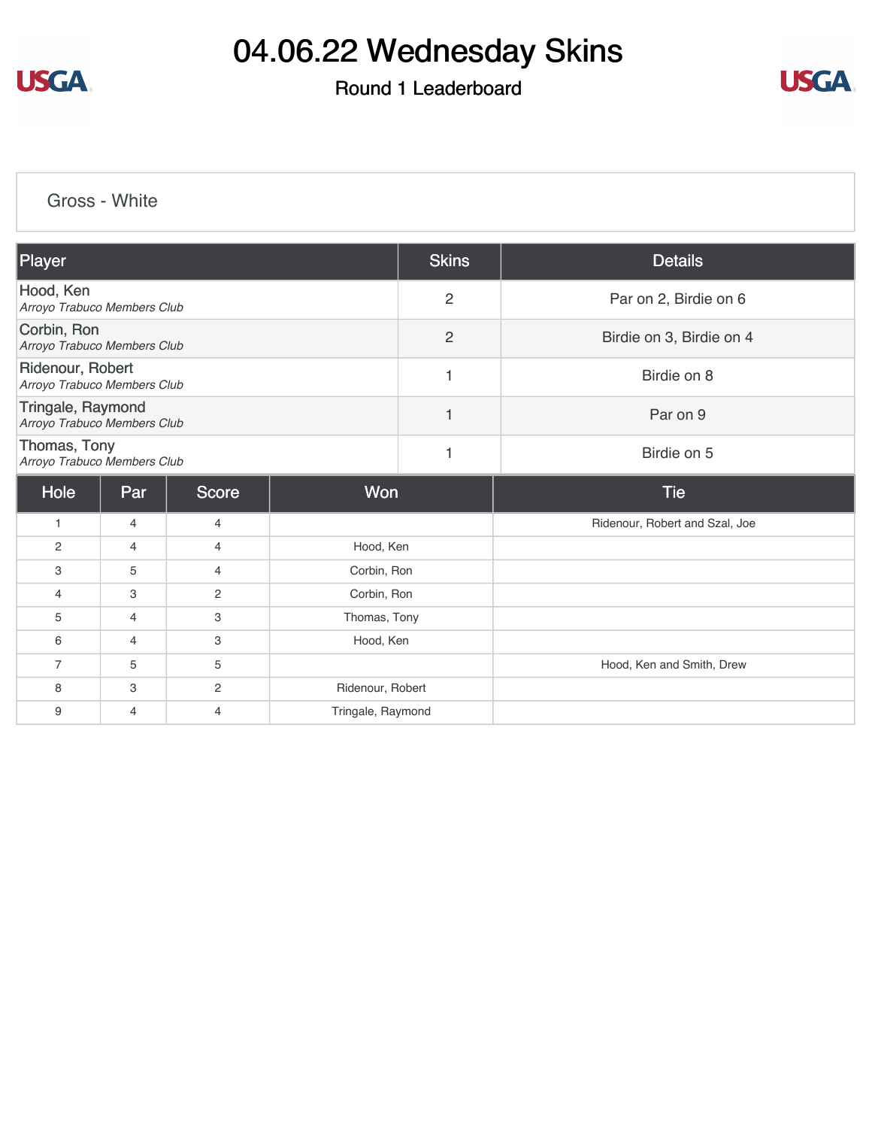

### Round 1 Leaderboard



[Gross - White](https://cdn2.golfgenius.com/v2tournaments/8361541346049155516?called_from=&round_index=1)

| Player                                           |     |                |                  | <b>Skins</b>   | <b>Details</b>                 |
|--------------------------------------------------|-----|----------------|------------------|----------------|--------------------------------|
| Hood, Ken<br>Arroyo Trabuco Members Club         |     |                |                  | $\overline{2}$ | Par on 2, Birdie on 6          |
| Corbin, Ron<br>Arroyo Trabuco Members Club       |     |                |                  | $\overline{2}$ | Birdie on 3, Birdie on 4       |
| Ridenour, Robert<br>Arroyo Trabuco Members Club  |     |                |                  | 1              | Birdie on 8                    |
| Tringale, Raymond<br>Arroyo Trabuco Members Club |     |                |                  | 1              | Par on 9                       |
| Thomas, Tony<br>Arroyo Trabuco Members Club      |     |                |                  | $\mathbf{1}$   | Birdie on 5                    |
|                                                  |     |                | Won              |                |                                |
| Hole                                             | Par | <b>Score</b>   |                  |                | <b>Tie</b>                     |
| $\mathbf{1}$                                     | 4   | $\overline{4}$ |                  |                | Ridenour, Robert and Szal, Joe |
| 2                                                | 4   | 4              | Hood, Ken        |                |                                |
| 3                                                | 5   | 4              | Corbin, Ron      |                |                                |
| $\overline{4}$                                   | 3   | $\mathbf{2}$   | Corbin, Ron      |                |                                |
| 5                                                | 4   | 3              | Thomas, Tony     |                |                                |
| 6                                                | 4   | 3              | Hood, Ken        |                |                                |
| $\overline{7}$                                   | 5   | 5              |                  |                | Hood, Ken and Smith, Drew      |
| 8                                                | 3   | $\overline{c}$ | Ridenour, Robert |                |                                |